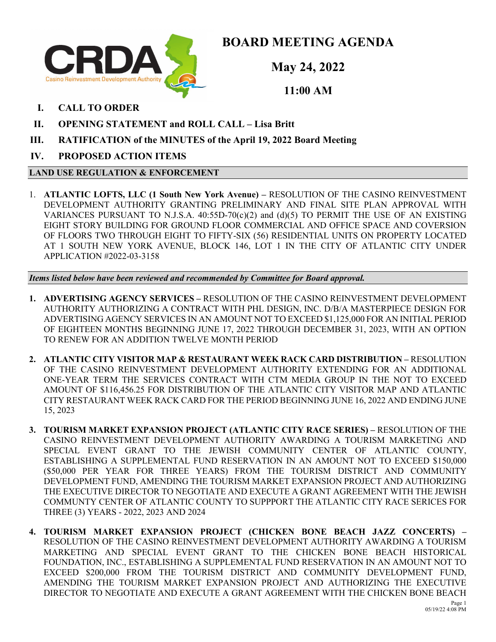

**BOARD MEETING AGENDA**

**May 24, 2022**

**11:00 AM**

- **I. CALL TO ORDER**
- **II. OPENING STATEMENT and ROLL CALL Lisa Britt**
- **III. RATIFICATION of the MINUTES of the April 19, 2022 Board Meeting**
- **IV. PROPOSED ACTION ITEMS**

# **LAND USE REGULATION & ENFORCEMENT**

1. **ATLANTIC LOFTS, LLC (1 South New York Avenue) –** RESOLUTION OF THE CASINO REINVESTMENT DEVELOPMENT AUTHORITY GRANTING PRELIMINARY AND FINAL SITE PLAN APPROVAL WITH VARIANCES PURSUANT TO N.J.S.A.  $40:55D-70(c)(2)$  and  $(d)(5)$  TO PERMIT THE USE OF AN EXISTING EIGHT STORY BUILDING FOR GROUND FLOOR COMMERCIAL AND OFFICE SPACE AND COVERSION OF FLOORS TWO THROUGH EIGHT TO FIFTY-SIX (56) RESIDENTIAL UNITS ON PROPERTY LOCATED AT 1 SOUTH NEW YORK AVENUE, BLOCK 146, LOT 1 IN THE CITY OF ATLANTIC CITY UNDER APPLICATION #2022-03-3158

*Items listed below have been reviewed and recommended by Committee for Board approval.*

- **1. ADVERTISING AGENCY SERVICES –** RESOLUTION OF THE CASINO REINVESTMENT DEVELOPMENT AUTHORITY AUTHORIZING A CONTRACT WITH PHL DESIGN, INC. D/B/A MASTERPIECE DESIGN FOR ADVERTISING AGENCY SERVICES IN AN AMOUNT NOT TO EXCEED \$1,125,000 FOR AN INITIAL PERIOD OF EIGHTEEN MONTHS BEGINNING JUNE 17, 2022 THROUGH DECEMBER 31, 2023, WITH AN OPTION TO RENEW FOR AN ADDITION TWELVE MONTH PERIOD
- **2. ATLANTIC CITY VISITOR MAP & RESTAURANT WEEK RACK CARD DISTRIBUTION –** RESOLUTION OF THE CASINO REINVESTMENT DEVELOPMENT AUTHORITY EXTENDING FOR AN ADDITIONAL ONE-YEAR TERM THE SERVICES CONTRACT WITH CTM MEDIA GROUP IN THE NOT TO EXCEED AMOUNT OF \$116,456.25 FOR DISTRIBUTION OF THE ATLANTIC CITY VISITOR MAP AND ATLANTIC CITY RESTAURANT WEEK RACK CARD FOR THE PERIOD BEGINNING JUNE 16, 2022 AND ENDING JUNE 15, 2023
- **3. TOURISM MARKET EXPANSION PROJECT (ATLANTIC CITY RACE SERIES)** RESOLUTION OF THE CASINO REINVESTMENT DEVELOPMENT AUTHORITY AWARDING A TOURISM MARKETING AND SPECIAL EVENT GRANT TO THE JEWISH COMMUNITY CENTER OF ATLANTIC COUNTY, ESTABLISHING A SUPPLEMENTAL FUND RESERVATION IN AN AMOUNT NOT TO EXCEED \$150,000 (\$50,000 PER YEAR FOR THREE YEARS) FROM THE TOURISM DISTRICT AND COMMUNITY DEVELOPMENT FUND, AMENDING THE TOURISM MARKET EXPANSION PROJECT AND AUTHORIZING THE EXECUTIVE DIRECTOR TO NEGOTIATE AND EXECUTE A GRANT AGREEMENT WITH THE JEWISH COMMUNTY CENTER OF ATLANTIC COUNTY TO SUPPPORT THE ATLANTIC CITY RACE SERICES FOR THREE (3) YEARS - 2022, 2023 AND 2024
- **4. TOURISM MARKET EXPANSION PROJECT (CHICKEN BONE BEACH JAZZ CONCERTS)**  RESOLUTION OF THE CASINO REINVESTMENT DEVELOPMENT AUTHORITY AWARDING A TOURISM MARKETING AND SPECIAL EVENT GRANT TO THE CHICKEN BONE BEACH HISTORICAL FOUNDATION, INC., ESTABLISHING A SUPPLEMENTAL FUND RESERVATION IN AN AMOUNT NOT TO EXCEED \$200,000 FROM THE TOURISM DISTRICT AND COMMUNITY DEVELOPMENT FUND, AMENDING THE TOURISM MARKET EXPANSION PROJECT AND AUTHORIZING THE EXECUTIVE DIRECTOR TO NEGOTIATE AND EXECUTE A GRANT AGREEMENT WITH THE CHICKEN BONE BEACH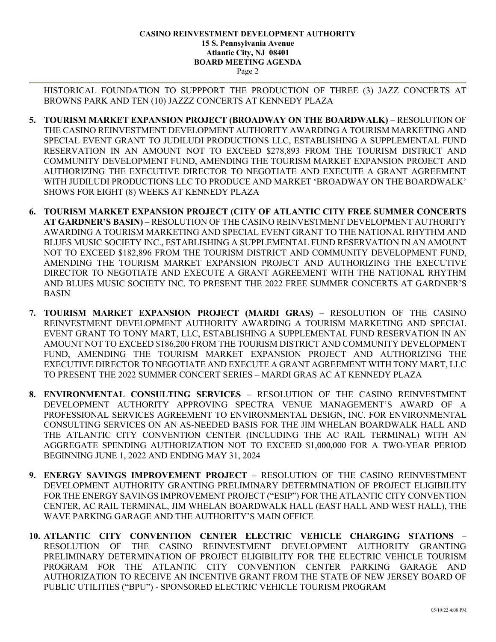### **CASINO REINVESTMENT DEVELOPMENT AUTHORITY 15 S. Pennsylvania Avenue Atlantic City, NJ 08401 BOARD MEETING AGENDA** Page 2

HISTORICAL FOUNDATION TO SUPPPORT THE PRODUCTION OF THREE (3) JAZZ CONCERTS AT BROWNS PARK AND TEN (10) JAZZZ CONCERTS AT KENNEDY PLAZA

- **5. TOURISM MARKET EXPANSION PROJECT (BROADWAY ON THE BOARDWALK) –** RESOLUTION OF THE CASINO REINVESTMENT DEVELOPMENT AUTHORITY AWARDING A TOURISM MARKETING AND SPECIAL EVENT GRANT TO JUDILUDI PRODUCTIONS LLC, ESTABLISHING A SUPPLEMENTAL FUND RESERVATION IN AN AMOUNT NOT TO EXCEED \$278,893 FROM THE TOURISM DISTRICT AND COMMUNITY DEVELOPMENT FUND, AMENDING THE TOURISM MARKET EXPANSION PROJECT AND AUTHORIZING THE EXECUTIVE DIRECTOR TO NEGOTIATE AND EXECUTE A GRANT AGREEMENT WITH JUDILUDI PRODUCTIONS LLC TO PRODUCE AND MARKET 'BROADWAY ON THE BOARDWALK' SHOWS FOR EIGHT (8) WEEKS AT KENNEDY PLAZA
- **6. TOURISM MARKET EXPANSION PROJECT (CITY OF ATLANTIC CITY FREE SUMMER CONCERTS AT GARDNER'S BASIN) –** RESOLUTION OF THE CASINO REINVESTMENT DEVELOPMENT AUTHORITY AWARDING A TOURISM MARKETING AND SPECIAL EVENT GRANT TO THE NATIONAL RHYTHM AND BLUES MUSIC SOCIETY INC., ESTABLISHING A SUPPLEMENTAL FUND RESERVATION IN AN AMOUNT NOT TO EXCEED \$182,896 FROM THE TOURISM DISTRICT AND COMMUNITY DEVELOPMENT FUND, AMENDING THE TOURISM MARKET EXPANSION PROJECT AND AUTHORIZING THE EXECUTIVE DIRECTOR TO NEGOTIATE AND EXECUTE A GRANT AGREEMENT WITH THE NATIONAL RHYTHM AND BLUES MUSIC SOCIETY INC. TO PRESENT THE 2022 FREE SUMMER CONCERTS AT GARDNER'S BASIN
- **7. TOURISM MARKET EXPANSION PROJECT (MARDI GRAS) –** RESOLUTION OF THE CASINO REINVESTMENT DEVELOPMENT AUTHORITY AWARDING A TOURISM MARKETING AND SPECIAL EVENT GRANT TO TONY MART, LLC, ESTABLISHING A SUPPLEMENTAL FUND RESERVATION IN AN AMOUNT NOT TO EXCEED \$186,200 FROM THE TOURISM DISTRICT AND COMMUNITY DEVELOPMENT FUND, AMENDING THE TOURISM MARKET EXPANSION PROJECT AND AUTHORIZING THE EXECUTIVE DIRECTOR TO NEGOTIATE AND EXECUTE A GRANT AGREEMENT WITH TONY MART, LLC TO PRESENT THE 2022 SUMMER CONCERT SERIES – MARDI GRAS AC AT KENNEDY PLAZA
- **8. ENVIRONMENTAL CONSULTING SERVICES** RESOLUTION OF THE CASINO REINVESTMENT DEVELOPMENT AUTHORITY APPROVING SPECTRA VENUE MANAGEMENT'S AWARD OF A PROFESSIONAL SERVICES AGREEMENT TO ENVIRONMENTAL DESIGN, INC. FOR ENVIRONMENTAL CONSULTING SERVICES ON AN AS-NEEDED BASIS FOR THE JIM WHELAN BOARDWALK HALL AND THE ATLANTIC CITY CONVENTION CENTER (INCLUDING THE AC RAIL TERMINAL) WITH AN AGGREGATE SPENDING AUTHORIZATION NOT TO EXCEED \$1,000,000 FOR A TWO-YEAR PERIOD BEGINNING JUNE 1, 2022 AND ENDING MAY 31, 2024
- **9. ENERGY SAVINGS IMPROVEMENT PROJECT** RESOLUTION OF THE CASINO REINVESTMENT DEVELOPMENT AUTHORITY GRANTING PRELIMINARY DETERMINATION OF PROJECT ELIGIBILITY FOR THE ENERGY SAVINGS IMPROVEMENT PROJECT ("ESIP") FOR THE ATLANTIC CITY CONVENTION CENTER, AC RAIL TERMINAL, JIM WHELAN BOARDWALK HALL (EAST HALL AND WEST HALL), THE WAVE PARKING GARAGE AND THE AUTHORITY'S MAIN OFFICE
- **10. ATLANTIC CITY CONVENTION CENTER ELECTRIC VEHICLE CHARGING STATIONS** RESOLUTION OF THE CASINO REINVESTMENT DEVELOPMENT AUTHORITY GRANTING PRELIMINARY DETERMINATION OF PROJECT ELIGIBILITY FOR THE ELECTRIC VEHICLE TOURISM PROGRAM FOR THE ATLANTIC CITY CONVENTION CENTER PARKING GARAGE AND AUTHORIZATION TO RECEIVE AN INCENTIVE GRANT FROM THE STATE OF NEW JERSEY BOARD OF PUBLIC UTILITIES ("BPU") - SPONSORED ELECTRIC VEHICLE TOURISM PROGRAM